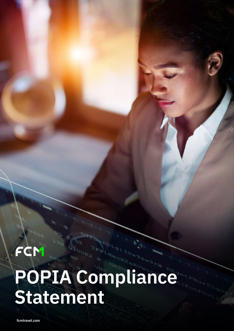# **POPIA Compliance Statement**

**fcmtravel.com**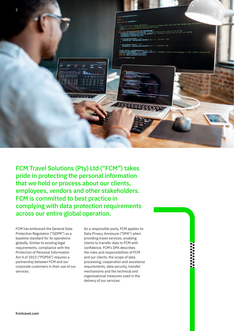

FCM Travel Solutions (Pty) Ltd ("FCM") takes pride in protecting the personal information that we hold or process about our clients, employees, vendors and other stakeholders. FCM is committed to best practice in complying with data protection requirements across our entire global operation.

FCM has embraced the General Data Protection Regulation ("GDPR") as a baseline standard for its operations globally. Similar to existing legal requirements, compliance with the Protection of Personal Information Act 4 of 2013 ("POPIA") requires a partnership between FCM and our corporate customers in their use of our services.

As a responsible party, FCM applies its Data Privacy Annexure ("DPA") when providing travel services, enabling clients to transfer data to FCM with confidence. FCM's DPA describes the roles and responsibilities of FCM and our clients, the scope of data processing, cooperation and assistance requirements, data security, transfer mechanisms and the technical and organisational measures used in the delivery of our services.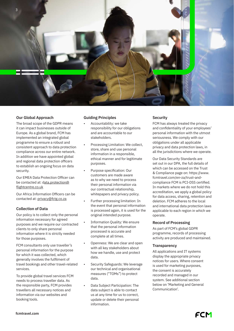

# **Our Global Approach**

The broad scope of the GDPR means it can impact businesses outside of Europe. As a global brand, FCM has implemented an integrated global programme to ensure a robust and consistent approach to data protection compliance across our entire network. In addition we have appointed global and regional data protection officers to establish an ongoing focus on data security.

Our EMEA Data Protection Officer can be contacted at: data.protection@ flightcentre.co.uk

Our Africa Information Officers can be contacted at: privacy@fctg.co.za

## **Collection of Data**

Our policy is to collect only the personal information necessary for agreed purposes and we require our contracted clients to only share personal information where it is strictly needed for those purposes.

FCM consultants only use traveller's personal information for the purpose for which it was collected, which generally involves the fulfilment of travel bookings and other travel-related services.

To provide global travel services FCM needs to process traveller data. As the responsible party, FCM provides travellers all necessary notices and information via our websites and booking tools.

### **Guiding Principles**

- Accountability: we take responsibility for our obligations and are accountable to our stakeholders.
- Processing Limitation: We collect, store, share and use personal information in a responsible, ethical manner and for legitimate purposes.
- Purpose specification: Our customers are made aware as to why we need to process their personal information via our contractual relationship, whitepapers and privacy policy.
- Further processing limitation: In the event that personal information is processed again, it is used for the original intended purpose.
- Information Quality: We ensure that the personal information processed is accurate and complete at all times.
- Openness: We are clear and open with all key stakeholders about how we handle, use and protect data.
- Security Safeguards: We leverage our technical and organisational measures ("TOMs") to protect data.
- Data Subject Participation: The data subject is able to contact us at any time for us to correct, update or delete their personal information.

## **Security**

FCM has always treated the privacy and confidentiality of your employees' personal information with the utmost seriousness. We comply with our obligations under all applicable privacy and data protection laws, in all the jurisdictions where we operate.

Our Data Security Standards are set out in our DPA, the full details of which can be accessed on the Trust & Compliance page on: https://www. fcmtravel.com/en-za/trust-andcompliance FCM is PCI-DSS certified. In markets where we do not hold this accreditation, we apply a global policy for data access, sharing, retention and deletion. FCM adheres to the local and international data protection laws applicable to each region in which we operate.

### **Record of Processing**

As part of FCM's global GDPR programme, records of processing activity are produced and maintained.

### **Transparency**

All applications and IT systems display the appropriate privacy notices for users. Where consent is used for marketing purposes, the consent is accurately recorded and managed in our system. See additional section below on 'Marketing and General Communication'.